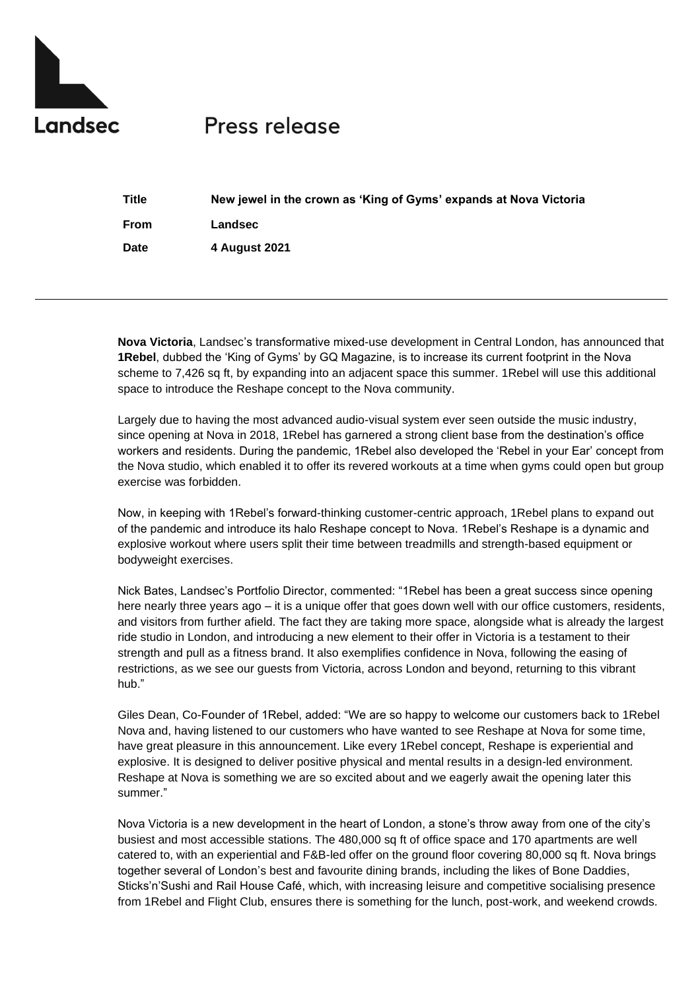

## Press release

| <b>Title</b> | New jewel in the crown as 'King of Gyms' expands at Nova Victoria |
|--------------|-------------------------------------------------------------------|
| From         | Landsec                                                           |
| Date         | 4 August 2021                                                     |

**Nova Victoria**, Landsec's transformative mixed-use development in Central London, has announced that **1Rebel**, dubbed the 'King of Gyms' by GQ Magazine, is to increase its current footprint in the Nova scheme to 7,426 sq ft, by expanding into an adjacent space this summer. 1Rebel will use this additional space to introduce the Reshape concept to the Nova community.

Largely due to having the most advanced audio-visual system ever seen outside the music industry, since opening at Nova in 2018, 1Rebel has garnered a strong client base from the destination's office workers and residents. During the pandemic, 1Rebel also developed the 'Rebel in your Ear' concept from the Nova studio, which enabled it to offer its revered workouts at a time when gyms could open but group exercise was forbidden.

Now, in keeping with 1Rebel's forward-thinking customer-centric approach, 1Rebel plans to expand out of the pandemic and introduce its halo Reshape concept to Nova. 1Rebel's Reshape is a dynamic and explosive workout where users split their time between treadmills and strength-based equipment or bodyweight exercises.

Nick Bates, Landsec's Portfolio Director, commented: "1Rebel has been a great success since opening here nearly three years ago – it is a unique offer that goes down well with our office customers, residents, and visitors from further afield. The fact they are taking more space, alongside what is already the largest ride studio in London, and introducing a new element to their offer in Victoria is a testament to their strength and pull as a fitness brand. It also exemplifies confidence in Nova, following the easing of restrictions, as we see our guests from Victoria, across London and beyond, returning to this vibrant hub."

Giles Dean, Co-Founder of 1Rebel, added: "We are so happy to welcome our customers back to 1Rebel Nova and, having listened to our customers who have wanted to see Reshape at Nova for some time, have great pleasure in this announcement. Like every 1Rebel concept, Reshape is experiential and explosive. It is designed to deliver positive physical and mental results in a design-led environment. Reshape at Nova is something we are so excited about and we eagerly await the opening later this summer."

Nova Victoria is a new development in the heart of London, a stone's throw away from one of the city's busiest and most accessible stations. The 480,000 sq ft of office space and 170 apartments are well catered to, with an experiential and F&B-led offer on the ground floor covering 80,000 sq ft. Nova brings together several of London's best and favourite dining brands, including the likes of Bone Daddies, Sticks'n'Sushi and Rail House Café, which, with increasing leisure and competitive socialising presence from 1Rebel and Flight Club, ensures there is something for the lunch, post-work, and weekend crowds.